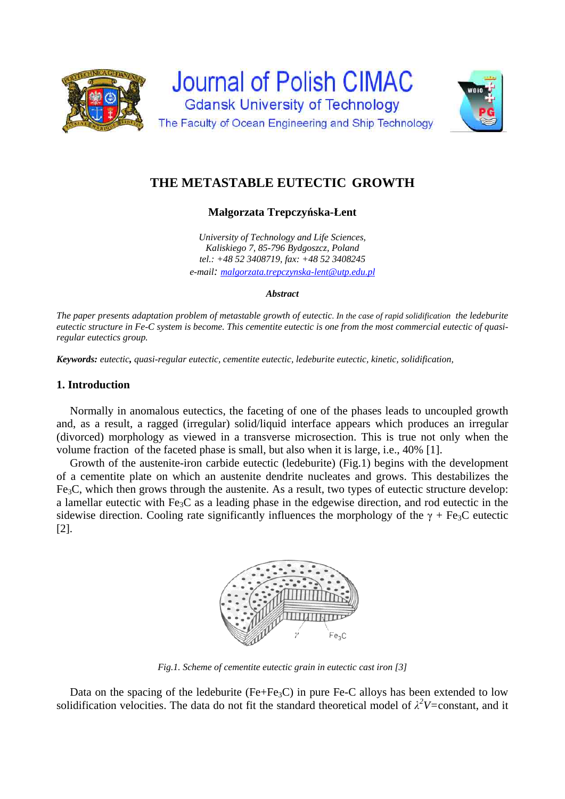



# **THE METASTABLE EUTECTIC GROWTH**

**Małgorzata Trepczyńska-Łent** 

*University of Technology and Life Sciences, Kaliskiego 7, 85-796 Bydgoszcz, Poland tel.: +48 52 3408719, fax: +48 52 3408245 e-mail: malgorzata.trepczynska-lent@utp.edu.pl*

## *Abstract*

*The paper presents adaptation problem of metastable growth of eutectic*. *In the case of rapid solidification the ledeburite eutectic structure in Fe-C system is become. This cementite eutectic is one from the most commercial eutectic of quasiregular eutectics group.* 

*Keywords: eutectic, quasi-regular eutectic, cementite eutectic, ledeburite eutectic, kinetic, solidification,* 

# **1. Introduction**

Normally in anomalous eutectics, the faceting of one of the phases leads to uncoupled growth and, as a result, a ragged (irregular) solid/liquid interface appears which produces an irregular (divorced) morphology as viewed in a transverse microsection. This is true not only when the volume fraction of the faceted phase is small, but also when it is large, i.e., 40% [1].

Growth of the austenite-iron carbide eutectic (ledeburite) (Fig.1) begins with the development of a cementite plate on which an austenite dendrite nucleates and grows. This destabilizes the Fe3C, which then grows through the austenite. As a result, two types of eutectic structure develop: a lamellar eutectic with Fe3C as a leading phase in the edgewise direction, and rod eutectic in the sidewise direction. Cooling rate significantly influences the morphology of the  $\gamma$  + Fe<sub>3</sub>C eutectic [2].



*Fig.1. Scheme of cementite eutectic grain in eutectic cast iron [3]* 

Data on the spacing of the ledeburite ( $Fe + Fe_3C$ ) in pure Fe-C alloys has been extended to low solidification velocities. The data do not fit the standard theoretical model of  $\lambda^2 V = constant$ , and it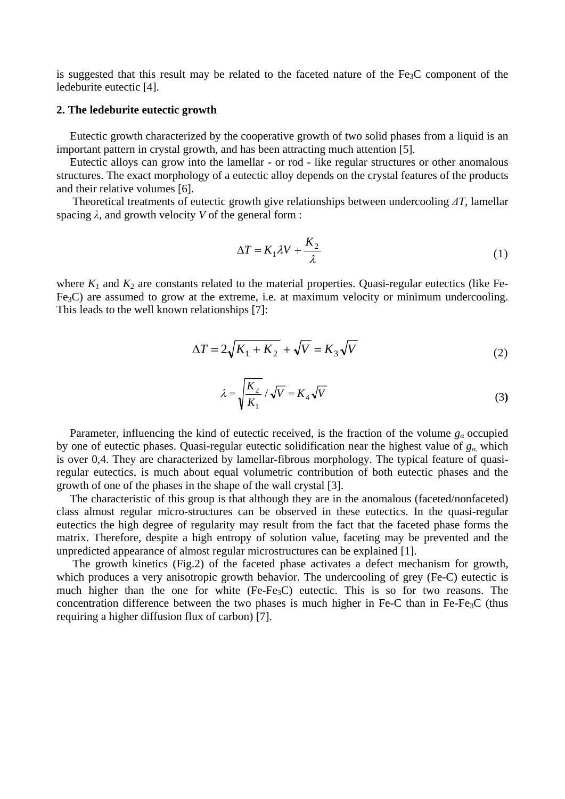is suggested that this result may be related to the faceted nature of the  $Fe<sub>3</sub>C$  component of the ledeburite eutectic [4].

## **2. The ledeburite eutectic growth**

Eutectic growth characterized by the cooperative growth of two solid phases from a liquid is an important pattern in crystal growth, and has been attracting much attention [5].

Eutectic alloys can grow into the lamellar - or rod - like regular structures or other anomalous structures. The exact morphology of a eutectic alloy depends on the crystal features of the products and their relative volumes [6].

Theoretical treatments of eutectic growth give relationships between undercooling *ΔT*, lamellar spacing *λ*, and growth velocity *V* of the general form :

$$
\Delta T = K_1 \lambda V + \frac{K_2}{\lambda} \tag{1}
$$

where  $K_1$  and  $K_2$  are constants related to the material properties. Quasi-regular eutectics (like Fe-Fe3C) are assumed to grow at the extreme, i.e. at maximum velocity or minimum undercooling. This leads to the well known relationships [7]:

$$
\Delta T = 2\sqrt{K_1 + K_2} + \sqrt{V} = K_3\sqrt{V}
$$
\n(2)

$$
\lambda = \sqrt{\frac{K_2}{K_1}} / \sqrt{V} = K_4 \sqrt{V}
$$
\n(3)

Parameter, influencing the kind of eutectic received, is the fraction of the volume *g<sup>α</sup>* occupied by one of eutectic phases. Quasi-regular eutectic solidification near the highest value of *gα*, which is over 0,4. They are characterized by lamellar-fibrous morphology. The typical feature of quasiregular eutectics, is much about equal volumetric contribution of both eutectic phases and the growth of one of the phases in the shape of the wall crystal [3].

The characteristic of this group is that although they are in the anomalous (faceted/nonfaceted) class almost regular micro-structures can be observed in these eutectics. In the quasi-regular eutectics the high degree of regularity may result from the fact that the faceted phase forms the matrix. Therefore, despite a high entropy of solution value, faceting may be prevented and the unpredicted appearance of almost regular microstructures can be explained [1].

The growth kinetics (Fig.2) of the faceted phase activates a defect mechanism for growth, which produces a very anisotropic growth behavior. The undercooling of grey (Fe-C) eutectic is much higher than the one for white  $(Fe-Fe<sub>3</sub>C)$  eutectic. This is so for two reasons. The concentration difference between the two phases is much higher in Fe-C than in Fe-Fe<sub>3</sub>C (thus requiring a higher diffusion flux of carbon) [7].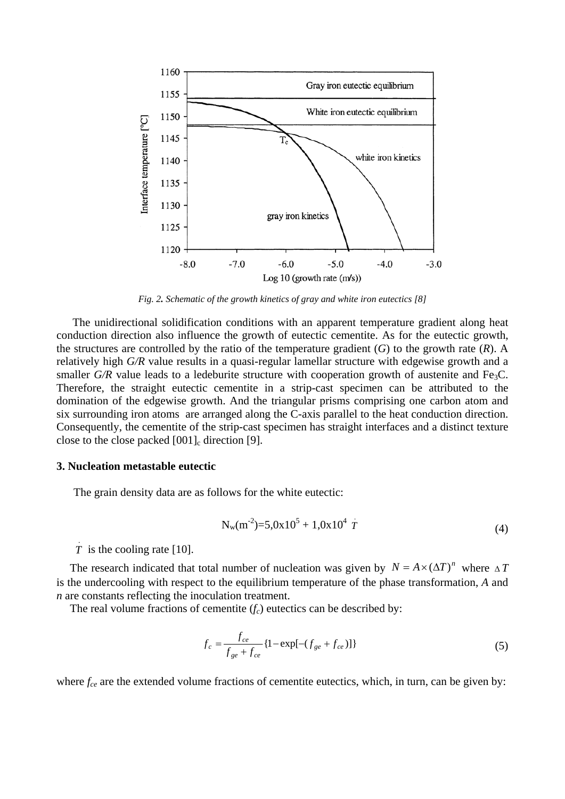

*Fig. 2. Schematic of the growth kinetics of gray and white iron eutectics [8]* 

The unidirectional solidification conditions with an apparent temperature gradient along heat conduction direction also influence the growth of eutectic cementite. As for the eutectic growth, the structures are controlled by the ratio of the temperature gradient (*G*) to the growth rate (*R*). A relatively high *G/R* value results in a quasi-regular lamellar structure with edgewise growth and a smaller  $G/R$  value leads to a ledeburite structure with cooperation growth of austenite and Fe<sub>3</sub>C. Therefore, the straight eutectic cementite in a strip-cast specimen can be attributed to the domination of the edgewise growth. And the triangular prisms comprising one carbon atom and six surrounding iron atoms are arranged along the C-axis parallel to the heat conduction direction. Consequently, the cementite of the strip-cast specimen has straight interfaces and a distinct texture close to the close packed  $[001]$ <sub>c</sub> direction [9].

#### **3. Nucleation metastable eutectic**

The grain density data are as follows for the white eutectic:

$$
N_{w}(m^{-2})=5.0x10^{5}+1.0x10^{4}T
$$
\n(4)

 $\overline{T}$  is the cooling rate [10].

The research indicated that total number of nucleation was given by  $N = A \times (\Delta T)^n$  where  $\Delta T$ is the undercooling with respect to the equilibrium temperature of the phase transformation, *A* and *n* are constants reflecting the inoculation treatment.

The real volume fractions of cementite  $(f_c)$  eutectics can be described by:

$$
f_c = \frac{f_{ce}}{f_{ge} + f_{ce}} \{1 - \exp[-(f_{ge} + f_{ce})]\}
$$
 (5)

where  $f_{ce}$  are the extended volume fractions of cementite eutectics, which, in turn, can be given by: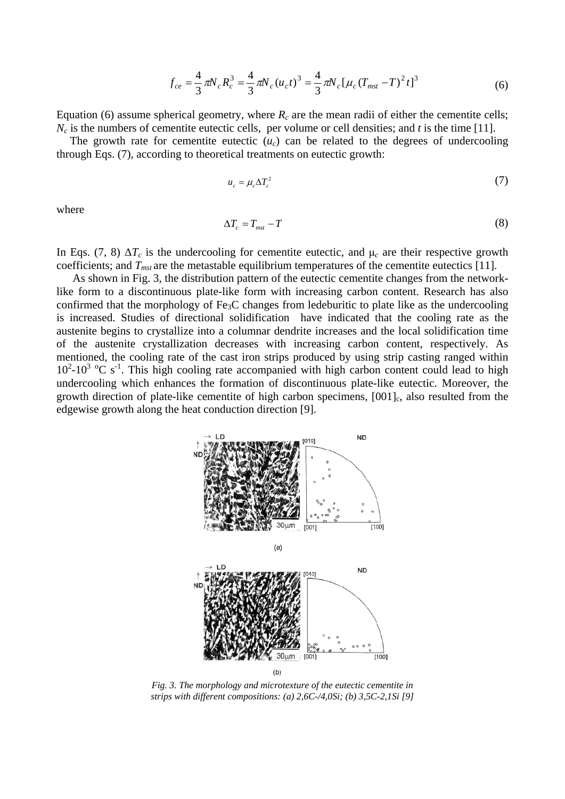$$
f_{ce} = \frac{4}{3} \pi N_c R_c^3 = \frac{4}{3} \pi N_c (u_c t)^3 = \frac{4}{3} \pi N_c [\mu_c (T_{mst} - T)^2 t]^3
$$
 (6)

Equation (6) assume spherical geometry, where  $R_c$  are the mean radii of either the cementite cells;  $N_c$  is the numbers of cementite eutectic cells, per volume or cell densities; and *t* is the time [11].

The growth rate for cementite eutectic  $(u<sub>c</sub>)$  can be related to the degrees of undercooling through Eqs. (7), according to theoretical treatments on eutectic growth:

$$
u_c = \mu_c \Delta T_c^2 \tag{7}
$$

where

$$
\Delta T_c = T_{mst} - T \tag{8}
$$

In Eqs. (7, 8)  $\Delta T_c$  is the undercooling for cementite eutectic, and  $\mu_c$  are their respective growth coefficients; and  $T_{mst}$  are the metastable equilibrium temperatures of the cementite eutectics [11].

As shown in Fig. 3, the distribution pattern of the eutectic cementite changes from the networklike form to a discontinuous plate-like form with increasing carbon content. Research has also confirmed that the morphology of Fe3C changes from ledeburitic to plate like as the undercooling is increased. Studies of directional solidification have indicated that the cooling rate as the austenite begins to crystallize into a columnar dendrite increases and the local solidification time of the austenite crystallization decreases with increasing carbon content, respectively. As mentioned, the cooling rate of the cast iron strips produced by using strip casting ranged within  $10^2$ - $10^3$  °C s<sup>-1</sup>. This high cooling rate accompanied with high carbon content could lead to high undercooling which enhances the formation of discontinuous plate-like eutectic. Moreover, the growth direction of plate-like cementite of high carbon specimens,  $[001]_c$ , also resulted from the edgewise growth along the heat conduction direction [9].



*Fig. 3. The morphology and microtexture of the eutectic cementite in strips with different compositions: (a) 2,6C-/4,0Si; (b) 3,5C-2,1Si [9]*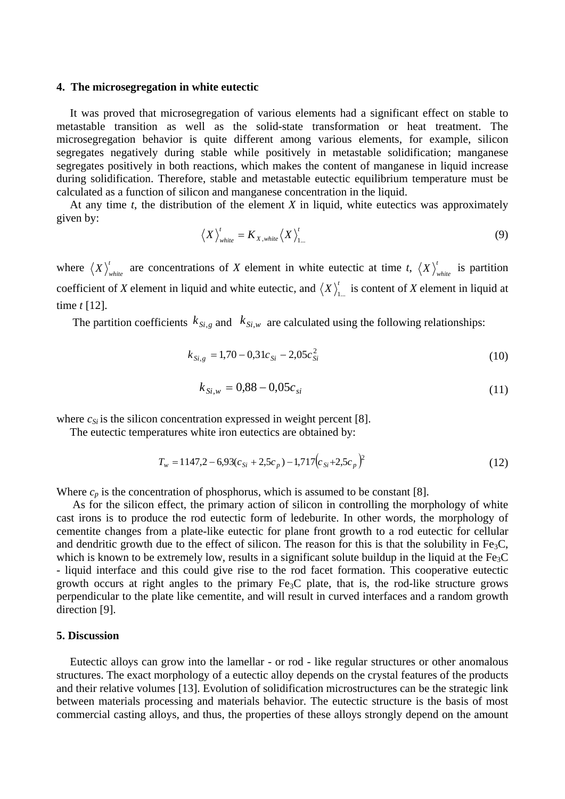#### **4. The microsegregation in white eutectic**

It was proved that microsegregation of various elements had a significant effect on stable to metastable transition as well as the solid-state transformation or heat treatment. The microsegregation behavior is quite different among various elements, for example, silicon segregates negatively during stable while positively in metastable solidification; manganese segregates positively in both reactions, which makes the content of manganese in liquid increase during solidification. Therefore, stable and metastable eutectic equilibrium temperature must be calculated as a function of silicon and manganese concentration in the liquid.

At any time *t*, the distribution of the element *X* in liquid, white eutectics was approximately given by:

$$
\left\langle X \right\rangle_{white}^{\prime} = K_{X,white} \left\langle X \right\rangle_{1...}^{\prime}
$$
 (9)

where  $\langle X \rangle_{white}^t$  are concentrations of *X* element in white eutectic at time *t*,  $\langle X \rangle_{white}^t$  is partition coefficient of *X* element in liquid and white eutectic, and  $\langle X \rangle_{L}^t$  is content of *X* element in liquid at time *t* [12].

The partition coefficients  $k_{Si,g}$  and  $k_{Si,w}$  are calculated using the following relationships:

$$
k_{Si,g} = 1,70 - 0,31c_{Si} - 2,05c_{Si}^2 \tag{10}
$$

$$
k_{Si,w} = 0.88 - 0.05c_{si} \tag{11}
$$

where  $c_{Si}$  is the silicon concentration expressed in weight percent [8].

The eutectic temperatures white iron eutectics are obtained by:

$$
T_w = 1147.2 - 6.93(c_{Si} + 2.5c_p) - 1.717(c_{Si} + 2.5c_p)^2
$$
\n(12)

Where  $c_p$  is the concentration of phosphorus, which is assumed to be constant [8].

As for the silicon effect, the primary action of silicon in controlling the morphology of white cast irons is to produce the rod eutectic form of ledeburite. In other words, the morphology of cementite changes from a plate-like eutectic for plane front growth to a rod eutectic for cellular and dendritic growth due to the effect of silicon. The reason for this is that the solubility in Fe<sub>3</sub>C, which is known to be extremely low, results in a significant solute buildup in the liquid at the  $Fe<sub>3</sub>C$ - liquid interface and this could give rise to the rod facet formation. This cooperative eutectic growth occurs at right angles to the primary  $Fe<sub>3</sub>C$  plate, that is, the rod-like structure grows perpendicular to the plate like cementite, and will result in curved interfaces and a random growth direction [9].

## **5. Discussion**

Eutectic alloys can grow into the lamellar - or rod - like regular structures or other anomalous structures. The exact morphology of a eutectic alloy depends on the crystal features of the products and their relative volumes [13]. Evolution of solidification microstructures can be the strategic link between materials processing and materials behavior. The eutectic structure is the basis of most commercial casting alloys, and thus, the properties of these alloys strongly depend on the amount